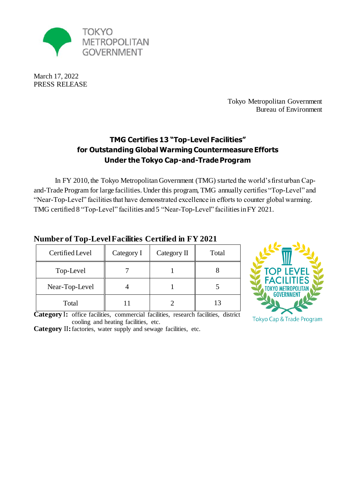

March 17, 2022 PRESS RELEASE

> Tokyo Metropolitan Government Bureau of Environment

# **TMG Certifies 13 "Top-Level Facilities" for Outstanding Global Warming Countermeasure Efforts Under the Tokyo Cap-and-Trade Program**

In FY 2010, the Tokyo Metropolitan Government (TMG) started the world's first urban Capand-Trade Program for large facilities. Under this program, TMG annually certifies "Top-Level" and "Near-Top-Level" facilities that have demonstrated excellence in efforts to counter global warming. TMG certified 8 "Top-Level" facilities and 5 "Near-Top-Level" facilitiesin FY 2021.

| Certified Level | Category I | Category II | Total |
|-----------------|------------|-------------|-------|
| Top-Level       |            |             |       |
| Near-Top-Level  |            |             |       |
| Total           |            |             |       |

#### **Number of Top-Level Facilities Certified in FY 2021**



**Category** Ⅰ**:** office facilities, commercial facilities, research facilities, district cooling and heating facilities, etc.

**Category** Ⅱ**:**factories, water supply and sewage facilities, etc.

Tokyo Cap & Trade Program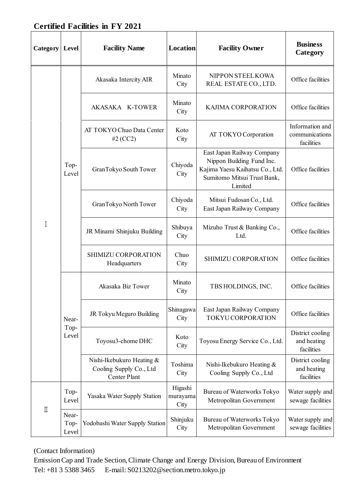# **Certified Facilities in FY 2021**

| Category                | Level                  | <b>Facility Name</b>                                                 | <b>Location</b>             | <b>Facility Owner</b>                                                                                                                | <b>Business</b><br>Category                     |
|-------------------------|------------------------|----------------------------------------------------------------------|-----------------------------|--------------------------------------------------------------------------------------------------------------------------------------|-------------------------------------------------|
| $\overline{I}$          | Top-<br>Level          | Akasaka Intercity AIR                                                | Minato<br>City              | NIPPON STEEL KOWA<br>REAL ESTATE CO., LTD.                                                                                           | Office facilities                               |
|                         |                        | AKASAKA K-TOWER                                                      | Minato<br>City              | <b>KAJIMA CORPORATION</b>                                                                                                            | Office facilities                               |
|                         |                        | AT TOKYO Chuo Data Center<br>#2 $(CC2)$                              | Koto<br>City                | AT TOKYO Corporation                                                                                                                 | Information and<br>communications<br>facilities |
|                         |                        | GranTokyo South Tower                                                | Chiyoda<br>City             | East Japan Railway Company<br>Nippon Building Fund Inc.<br>Kajima Yaesu Kaihatsu Co., Ltd.<br>Sumitomo Mitsui Trust Bank,<br>Limited | Office facilities                               |
|                         |                        | GranTokyo North Tower                                                | Chiyoda<br>City             | Mitsui Fudosan Co., Ltd.<br>East Japan Railway Company                                                                               | Office facilities                               |
|                         |                        | JR Minami Shinjuku Building                                          | Shibuya<br>City             | Mizuho Trust & Banking Co.,<br>Ltd.                                                                                                  | Office facilities                               |
|                         |                        | SHIMIZU CORPORATION<br>Headquarters                                  | Chuo<br>City                | SHIMIZU CORPORATION                                                                                                                  | Office facilities                               |
|                         | Near-<br>Top-<br>Level | Akasaka Biz Tower                                                    | Minato<br>City              | TBS HOLDINGS, INC.                                                                                                                   | Office facilities                               |
|                         |                        | JR Tokyu Meguro Building                                             | Shinagawa<br>City           | East Japan Railway Company<br><b>TOKYU CORPORATION</b>                                                                               | Office facilities                               |
|                         |                        | Toyosu3-chome DHC                                                    | Koto<br>City                | Toyosu Energy Service Co., Ltd.                                                                                                      | District cooling<br>and heating<br>facilities   |
|                         |                        | Nishi-Ikebukuro Heating &<br>Cooling Supply Co., Ltd<br>Center Plant | Toshima<br>City             | Nishi-Ikebukuro Heating &<br>Cooling Supply Co., Ltd                                                                                 | District cooling<br>and heating<br>facilities   |
|                         | Top-<br>Level          | Yasaka Water Supply Station                                          | Higashi<br>murayama<br>City | Bureau of Waterworks Tokyo<br>Metropolitan Government                                                                                | Water supply and<br>sewage facilities           |
| $\rm I\hspace{-0.3mm}I$ | Near-<br>Top-<br>Level | Yodobashi Water Supply Station                                       | Shinjuku<br>City            | Bureau of Waterworks Tokyo<br>Metropolitan Government                                                                                | Water supply and<br>sewage facilities           |

(Contact Information)

Emission Cap and Trade Section, Climate Change and Energy Division, Bureau of Environment Tel: +81 3 5388 3465 E-mail[: S0213202@section.metro.tokyo.jp](mailto:S0213202@section.metro.tokyo.jp)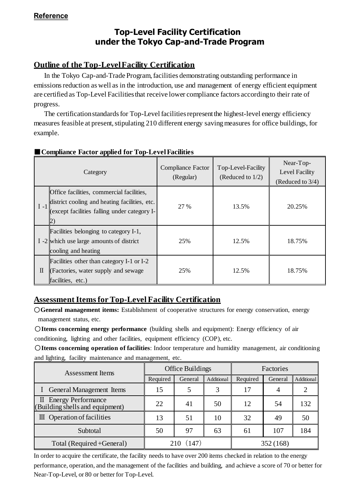# **Top-Level Facility Certification under the Tokyo Cap-and-Trade Program**

#### **Outline of the Top-Level Facility Certification**

In the Tokyo Cap-and-Trade Program, facilities demonstrating outstanding performance in emissions reduction as well as in the introduction, use and management of energy efficient equipment are certified as Top-Level Facilities that receive lower compliance factors according to their rate of progress.

 The certification standards for Top-Level facilities represent the highest-level energy efficiency measures feasible at present, stipulating 210 different energy saving measures for office buildings, for example.

|              | Category                                                                                                                                           | Compliance Factor<br>(Regular) | Top-Level-Facility<br>(Reduced to $1/2$ ) | Near-Top-<br>Level Facility<br>(Reduced to 3/4) |
|--------------|----------------------------------------------------------------------------------------------------------------------------------------------------|--------------------------------|-------------------------------------------|-------------------------------------------------|
| $I -1$       | <b>Office facilities</b> , commercial facilities,<br>district cooling and heating facilities, etc.<br>(except facilities falling under category I- | 27 %                           | 13.5%                                     | 20.25%                                          |
|              | Facilities belonging to category I-1,<br>I -2 which use large amounts of district<br>cooling and heating                                           | 25%                            | 12.5%                                     | 18.75%                                          |
| $\mathbb{I}$ | Facilities other than category I-1 or I-2<br>(Factories, water supply and sewage)<br>facilities, etc.)                                             | 25%                            | 12.5%                                     | 18.75%                                          |

#### ■**Compliance Factor applied for Top-Level Facilities**

### **Assessment Itemsfor Top-Level Facility Certification**

○**General management items:** Establishment of cooperative structures for energy conservation, energy management status, etc.

○**Items concerning energy performance** (building shells and equipment): Energy efficiency of air conditioning, lighting and other facilities, equipment efficiency (COP), etc.

○**Items concerning operation of facilities**: Indoor temperature and humidity management, air conditioning and lighting, facility maintenance and management, etc.

| <b>Assessment Items</b>                                  | Office Buildings |         |            | Factories |         |                   |
|----------------------------------------------------------|------------------|---------|------------|-----------|---------|-------------------|
|                                                          | Required         | General | Additional | Required  | General | <b>Additional</b> |
| <b>General Management Items</b>                          | 15               |         | 3          | 17        |         |                   |
| II Energy Performance<br>(Building shells and equipment) | 22               | 41      | 50         | 12        | 54      | 132               |
| $\mathbb{II}$ Operation of facilities                    | 13               | 51      | 10         | 32        | 49      | 50                |
| Subtotal                                                 | 50               | 97      | 63         | 61        | 107     | 184               |
| Total (Required + General)                               | (147)            |         | 352 (168)  |           |         |                   |

In order to acquire the certificate, the facility needs to have over 200 items checked in relation to the energy performance, operation, and the management of the facilities and building, and achieve a score of 70 or better for Near-Top-Level, or 80 or better for Top-Level.